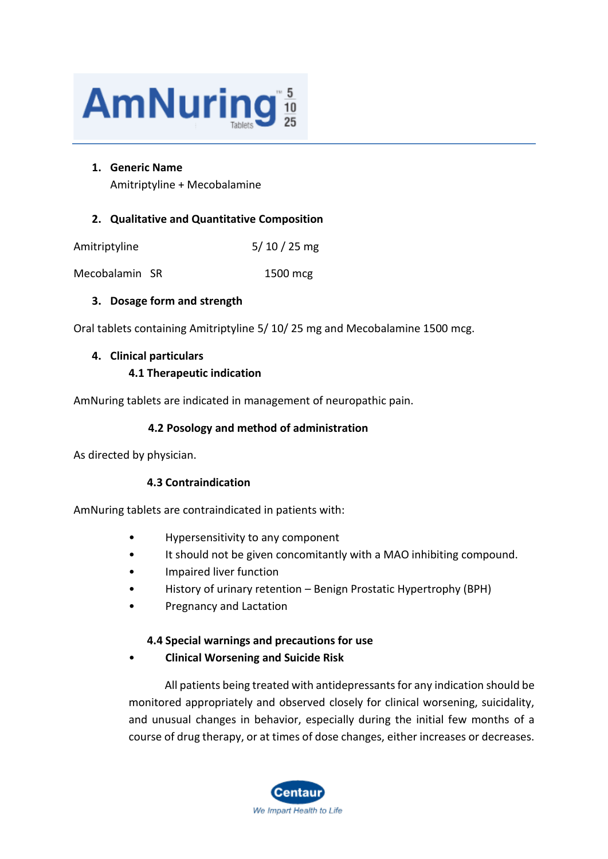

#### **1. Generic Name**

Amitriptyline + Mecobalamine

## **2. Qualitative and Quantitative Composition**

| $5/10/25$ mg |
|--------------|
|              |

Mecobalamin SR 1500 mcg

# **3. Dosage form and strength**

Oral tablets containing Amitriptyline 5/ 10/ 25 mg and Mecobalamine 1500 mcg.

#### **4. Clinical particulars**

# **4.1 Therapeutic indication**

AmNuring tablets are indicated in management of neuropathic pain.

# **4.2 Posology and method of administration**

As directed by physician.

# **4.3 Contraindication**

AmNuring tablets are contraindicated in patients with:

- Hypersensitivity to any component
- It should not be given concomitantly with a MAO inhibiting compound.
- Impaired liver function
- History of urinary retention Benign Prostatic Hypertrophy (BPH)
- Pregnancy and Lactation

# **4.4 Special warnings and precautions for use**

• **Clinical Worsening and Suicide Risk**

All patients being treated with antidepressants for any indication should be monitored appropriately and observed closely for clinical worsening, suicidality, and unusual changes in behavior, especially during the initial few months of a course of drug therapy, or at times of dose changes, either increases or decreases.

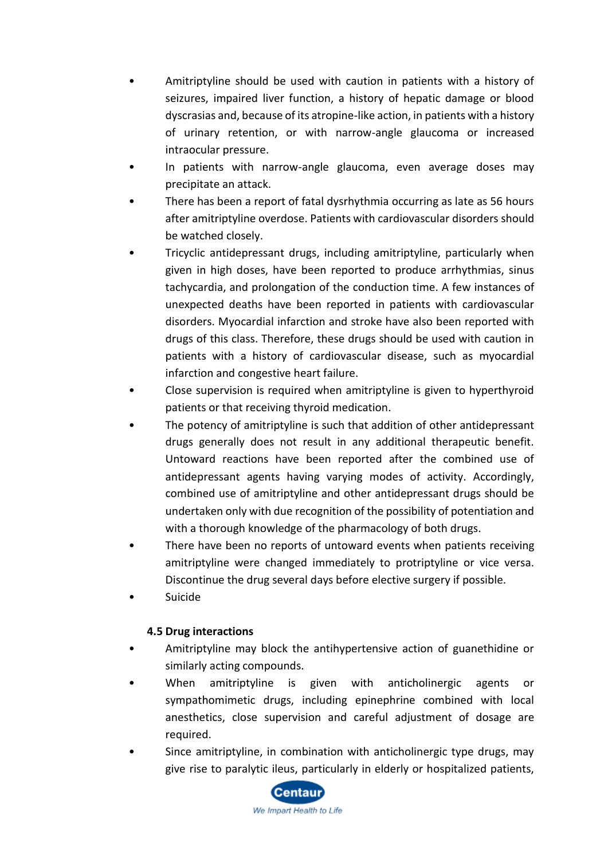- Amitriptyline should be used with caution in patients with a history of seizures, impaired liver function, a history of hepatic damage or blood dyscrasias and, because of its atropine-like action, in patients with a history of urinary retention, or with narrow-angle glaucoma or increased intraocular pressure.
- In patients with narrow-angle glaucoma, even average doses may precipitate an attack.
- There has been a report of fatal dysrhythmia occurring as late as 56 hours after amitriptyline overdose. Patients with cardiovascular disorders should be watched closely.
- Tricyclic antidepressant drugs, including amitriptyline, particularly when given in high doses, have been reported to produce arrhythmias, sinus tachycardia, and prolongation of the conduction time. A few instances of unexpected deaths have been reported in patients with cardiovascular disorders. Myocardial infarction and stroke have also been reported with drugs of this class. Therefore, these drugs should be used with caution in patients with a history of cardiovascular disease, such as myocardial infarction and congestive heart failure.
- Close supervision is required when amitriptyline is given to hyperthyroid patients or that receiving thyroid medication.
- The potency of amitriptyline is such that addition of other antidepressant drugs generally does not result in any additional therapeutic benefit. Untoward reactions have been reported after the combined use of antidepressant agents having varying modes of activity. Accordingly, combined use of amitriptyline and other antidepressant drugs should be undertaken only with due recognition of the possibility of potentiation and with a thorough knowledge of the pharmacology of both drugs.
- There have been no reports of untoward events when patients receiving amitriptyline were changed immediately to protriptyline or vice versa. Discontinue the drug several days before elective surgery if possible.
- Suicide

# **4.5 Drug interactions**

- Amitriptyline may block the antihypertensive action of guanethidine or similarly acting compounds.
- When amitriptyline is given with anticholinergic agents or sympathomimetic drugs, including epinephrine combined with local anesthetics, close supervision and careful adjustment of dosage are required.
- Since amitriptyline, in combination with anticholinergic type drugs, may give rise to paralytic ileus, particularly in elderly or hospitalized patients,

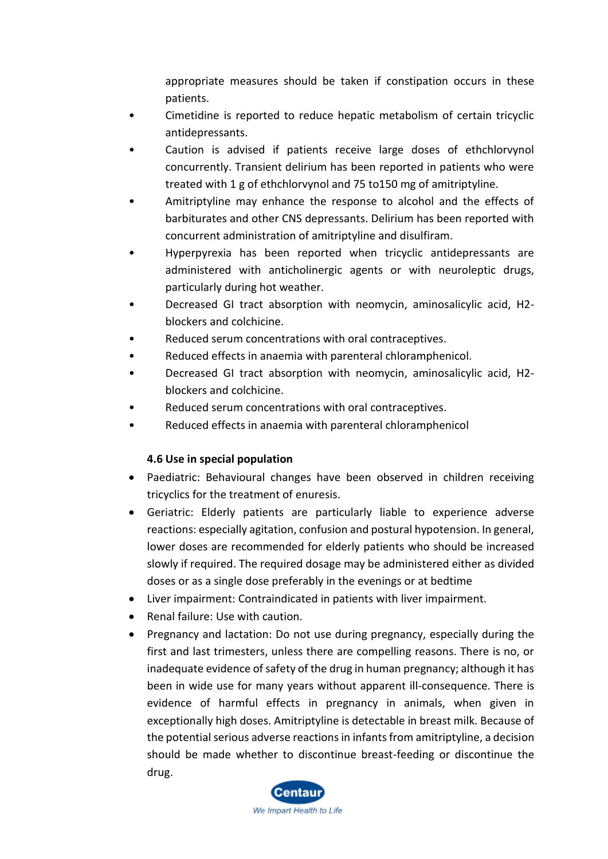appropriate measures should be taken if constipation occurs in these patients.

- Cimetidine is reported to reduce hepatic metabolism of certain tricyclic antidepressants.
- Caution is advised if patients receive large doses of ethchlorvynol concurrently. Transient delirium has been reported in patients who were treated with 1 g of ethchlorvynol and 75 to150 mg of amitriptyline.
- Amitriptyline may enhance the response to alcohol and the effects of barbiturates and other CNS depressants. Delirium has been reported with concurrent administration of amitriptyline and disulfiram.
- Hyperpyrexia has been reported when tricyclic antidepressants are administered with anticholinergic agents or with neuroleptic drugs, particularly during hot weather.
- Decreased GI tract absorption with neomycin, aminosalicylic acid, H2 blockers and colchicine.
- Reduced serum concentrations with oral contraceptives.
- Reduced effects in anaemia with parenteral chloramphenicol.
- Decreased GI tract absorption with neomycin, aminosalicylic acid, H2 blockers and colchicine.
- Reduced serum concentrations with oral contraceptives.
- Reduced effects in anaemia with parenteral chloramphenicol

# **4.6 Use in special population**

- Paediatric: Behavioural changes have been observed in children receiving tricyclics for the treatment of enuresis.
- Geriatric: Elderly patients are particularly liable to experience adverse reactions: especially agitation, confusion and postural hypotension. In general, lower doses are recommended for elderly patients who should be increased slowly if required. The required dosage may be administered either as divided doses or as a single dose preferably in the evenings or at bedtime
- Liver impairment: Contraindicated in patients with liver impairment.
- Renal failure: Use with caution.
- Pregnancy and lactation: Do not use during pregnancy, especially during the first and last trimesters, unless there are compelling reasons. There is no, or inadequate evidence of safety of the drug in human pregnancy; although it has been in wide use for many years without apparent ill-consequence. There is evidence of harmful effects in pregnancy in animals, when given in exceptionally high doses. Amitriptyline is detectable in breast milk. Because of the potential serious adverse reactions in infants from amitriptyline, a decision should be made whether to discontinue breast-feeding or discontinue the drug.

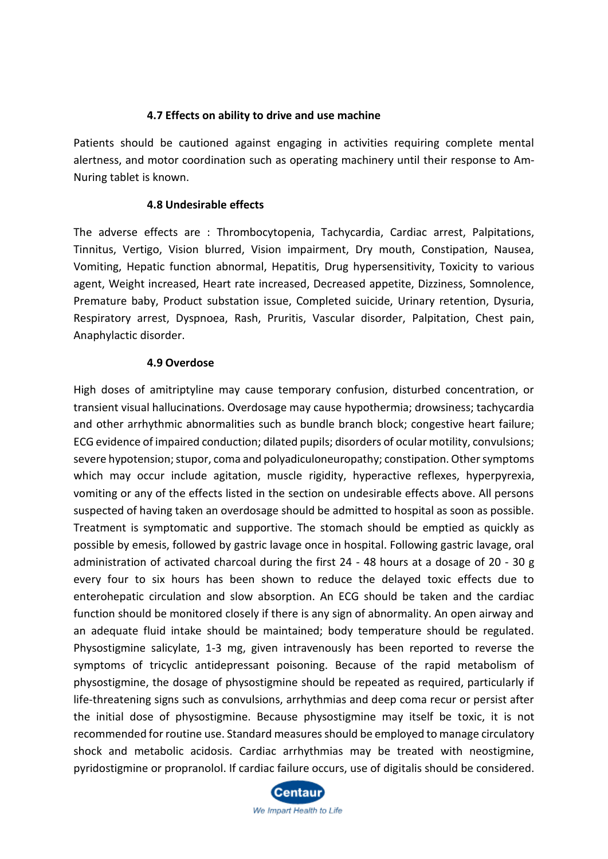#### **4.7 Effects on ability to drive and use machine**

Patients should be cautioned against engaging in activities requiring complete mental alertness, and motor coordination such as operating machinery until their response to Am-Nuring tablet is known.

#### **4.8 Undesirable effects**

The adverse effects are : Thrombocytopenia, Tachycardia, Cardiac arrest, Palpitations, Tinnitus, Vertigo, Vision blurred, Vision impairment, Dry mouth, Constipation, Nausea, Vomiting, Hepatic function abnormal, Hepatitis, Drug hypersensitivity, Toxicity to various agent, Weight increased, Heart rate increased, Decreased appetite, Dizziness, Somnolence, Premature baby, Product substation issue, Completed suicide, Urinary retention, Dysuria, Respiratory arrest, Dyspnoea, Rash, Pruritis, Vascular disorder, Palpitation, Chest pain, Anaphylactic disorder.

#### **4.9 Overdose**

High doses of amitriptyline may cause temporary confusion, disturbed concentration, or transient visual hallucinations. Overdosage may cause hypothermia; drowsiness; tachycardia and other arrhythmic abnormalities such as bundle branch block; congestive heart failure; ECG evidence of impaired conduction; dilated pupils; disorders of ocular motility, convulsions; severe hypotension; stupor, coma and polyadiculoneuropathy; constipation. Other symptoms which may occur include agitation, muscle rigidity, hyperactive reflexes, hyperpyrexia, vomiting or any of the effects listed in the section on undesirable effects above. All persons suspected of having taken an overdosage should be admitted to hospital as soon as possible. Treatment is symptomatic and supportive. The stomach should be emptied as quickly as possible by emesis, followed by gastric lavage once in hospital. Following gastric lavage, oral administration of activated charcoal during the first 24 - 48 hours at a dosage of 20 - 30 g every four to six hours has been shown to reduce the delayed toxic effects due to enterohepatic circulation and slow absorption. An ECG should be taken and the cardiac function should be monitored closely if there is any sign of abnormality. An open airway and an adequate fluid intake should be maintained; body temperature should be regulated. Physostigmine salicylate, 1-3 mg, given intravenously has been reported to reverse the symptoms of tricyclic antidepressant poisoning. Because of the rapid metabolism of physostigmine, the dosage of physostigmine should be repeated as required, particularly if life-threatening signs such as convulsions, arrhythmias and deep coma recur or persist after the initial dose of physostigmine. Because physostigmine may itself be toxic, it is not recommended for routine use. Standard measures should be employed to manage circulatory shock and metabolic acidosis. Cardiac arrhythmias may be treated with neostigmine, pyridostigmine or propranolol. If cardiac failure occurs, use of digitalis should be considered.

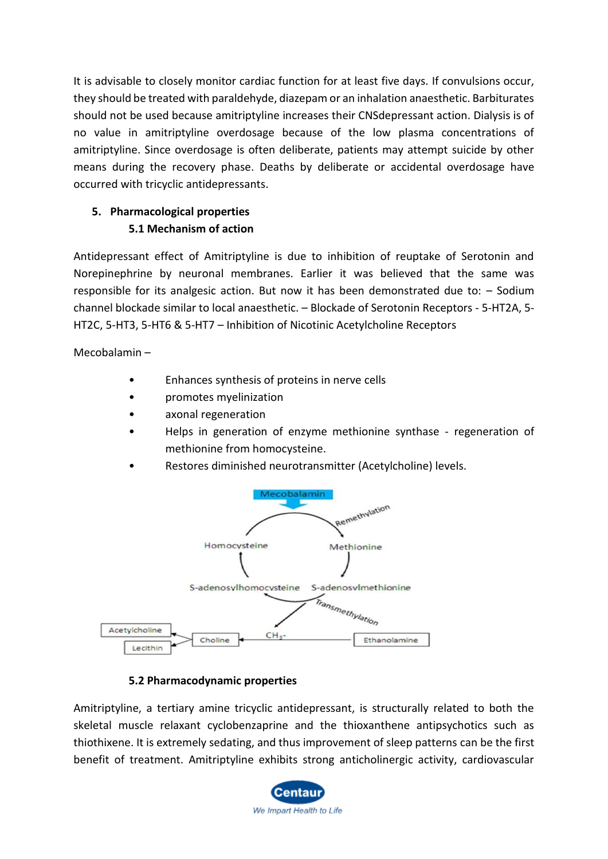It is advisable to closely monitor cardiac function for at least five days. If convulsions occur, they should be treated with paraldehyde, diazepam or an inhalation anaesthetic. Barbiturates should not be used because amitriptyline increases their CNSdepressant action. Dialysis is of no value in amitriptyline overdosage because of the low plasma concentrations of amitriptyline. Since overdosage is often deliberate, patients may attempt suicide by other means during the recovery phase. Deaths by deliberate or accidental overdosage have occurred with tricyclic antidepressants.

# **5. Pharmacological properties 5.1 Mechanism of action**

Antidepressant effect of Amitriptyline is due to inhibition of reuptake of Serotonin and Norepinephrine by neuronal membranes. Earlier it was believed that the same was responsible for its analgesic action. But now it has been demonstrated due to: – Sodium channel blockade similar to local anaesthetic. – Blockade of Serotonin Receptors - 5-HT2A, 5- HT2C, 5-HT3, 5-HT6 & 5-HT7 – Inhibition of Nicotinic Acetylcholine Receptors

Mecobalamin –

- Enhances synthesis of proteins in nerve cells
- promotes myelinization
- axonal regeneration
- Helps in generation of enzyme methionine synthase regeneration of methionine from homocysteine.
- Restores diminished neurotransmitter (Acetylcholine) levels.



# **5.2 Pharmacodynamic properties**

Amitriptyline, a tertiary amine tricyclic antidepressant, is structurally related to both the skeletal muscle relaxant cyclobenzaprine and the thioxanthene antipsychotics such as thiothixene. It is extremely sedating, and thus improvement of sleep patterns can be the first benefit of treatment. Amitriptyline exhibits strong anticholinergic activity, cardiovascular

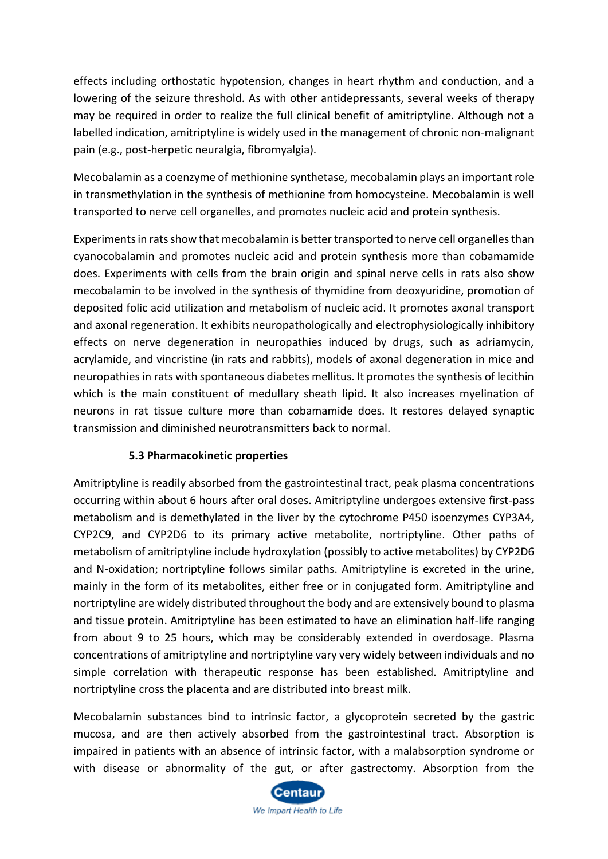effects including orthostatic hypotension, changes in heart rhythm and conduction, and a lowering of the seizure threshold. As with other antidepressants, several weeks of therapy may be required in order to realize the full clinical benefit of amitriptyline. Although not a labelled indication, amitriptyline is widely used in the management of chronic non-malignant pain (e.g., post-herpetic neuralgia, fibromyalgia).

Mecobalamin as a coenzyme of methionine synthetase, mecobalamin plays an important role in transmethylation in the synthesis of methionine from homocysteine. Mecobalamin is well transported to nerve cell organelles, and promotes nucleic acid and protein synthesis.

Experiments in rats show that mecobalamin is better transported to nerve cell organelles than cyanocobalamin and promotes nucleic acid and protein synthesis more than cobamamide does. Experiments with cells from the brain origin and spinal nerve cells in rats also show mecobalamin to be involved in the synthesis of thymidine from deoxyuridine, promotion of deposited folic acid utilization and metabolism of nucleic acid. It promotes axonal transport and axonal regeneration. It exhibits neuropathologically and electrophysiologically inhibitory effects on nerve degeneration in neuropathies induced by drugs, such as adriamycin, acrylamide, and vincristine (in rats and rabbits), models of axonal degeneration in mice and neuropathies in rats with spontaneous diabetes mellitus. It promotes the synthesis of lecithin which is the main constituent of medullary sheath lipid. It also increases myelination of neurons in rat tissue culture more than cobamamide does. It restores delayed synaptic transmission and diminished neurotransmitters back to normal.

# **5.3 Pharmacokinetic properties**

Amitriptyline is readily absorbed from the gastrointestinal tract, peak plasma concentrations occurring within about 6 hours after oral doses. Amitriptyline undergoes extensive first-pass metabolism and is demethylated in the liver by the cytochrome P450 isoenzymes CYP3A4, CYP2C9, and CYP2D6 to its primary active metabolite, nortriptyline. Other paths of metabolism of amitriptyline include hydroxylation (possibly to active metabolites) by CYP2D6 and N-oxidation; nortriptyline follows similar paths. Amitriptyline is excreted in the urine, mainly in the form of its metabolites, either free or in conjugated form. Amitriptyline and nortriptyline are widely distributed throughout the body and are extensively bound to plasma and tissue protein. Amitriptyline has been estimated to have an elimination half-life ranging from about 9 to 25 hours, which may be considerably extended in overdosage. Plasma concentrations of amitriptyline and nortriptyline vary very widely between individuals and no simple correlation with therapeutic response has been established. Amitriptyline and nortriptyline cross the placenta and are distributed into breast milk.

Mecobalamin substances bind to intrinsic factor, a glycoprotein secreted by the gastric mucosa, and are then actively absorbed from the gastrointestinal tract. Absorption is impaired in patients with an absence of intrinsic factor, with a malabsorption syndrome or with disease or abnormality of the gut, or after gastrectomy. Absorption from the

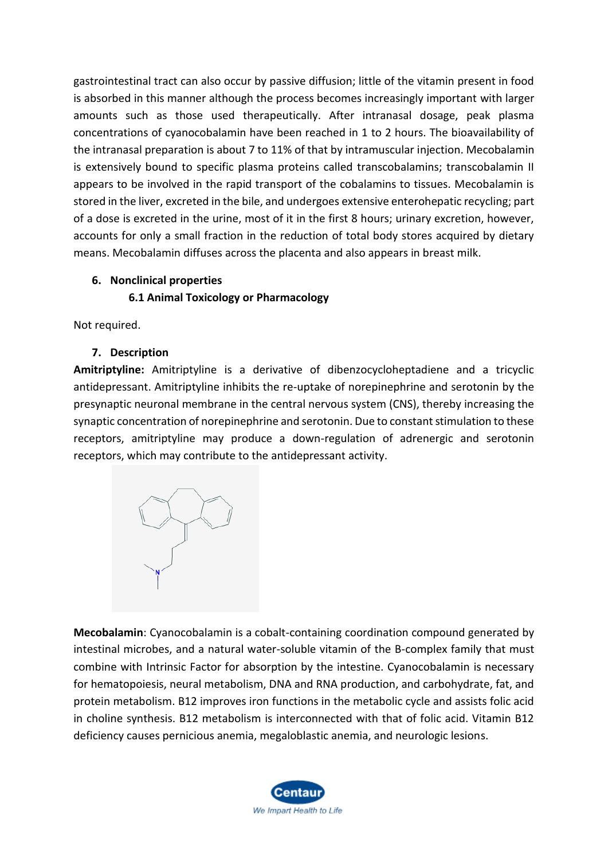gastrointestinal tract can also occur by passive diffusion; little of the vitamin present in food is absorbed in this manner although the process becomes increasingly important with larger amounts such as those used therapeutically. After intranasal dosage, peak plasma concentrations of cyanocobalamin have been reached in 1 to 2 hours. The bioavailability of the intranasal preparation is about 7 to 11% of that by intramuscular injection. Mecobalamin is extensively bound to specific plasma proteins called transcobalamins; transcobalamin II appears to be involved in the rapid transport of the cobalamins to tissues. Mecobalamin is stored in the liver, excreted in the bile, and undergoes extensive enterohepatic recycling; part of a dose is excreted in the urine, most of it in the first 8 hours; urinary excretion, however, accounts for only a small fraction in the reduction of total body stores acquired by dietary means. Mecobalamin diffuses across the placenta and also appears in breast milk.

# **6. Nonclinical properties**

# **6.1 Animal Toxicology or Pharmacology**

Not required.

# **7. Description**

**Amitriptyline:** Amitriptyline is a derivative of dibenzocycloheptadiene and a tricyclic antidepressant. Amitriptyline inhibits the re-uptake of norepinephrine and serotonin by the presynaptic neuronal membrane in the central nervous system (CNS), thereby increasing the synaptic concentration of norepinephrine and serotonin. Due to constant stimulation to these receptors, amitriptyline may produce a down-regulation of adrenergic and serotonin receptors, which may contribute to the antidepressant activity.



**Mecobalamin**: Cyanocobalamin is a cobalt-containing coordination compound generated by intestinal microbes, and a natural water-soluble vitamin of the B-complex family that must combine with Intrinsic Factor for absorption by the intestine. Cyanocobalamin is necessary for hematopoiesis, neural metabolism, DNA and RNA production, and carbohydrate, fat, and protein metabolism. B12 improves iron functions in the metabolic cycle and assists folic acid in choline synthesis. B12 metabolism is interconnected with that of folic acid. Vitamin B12 deficiency causes pernicious anemia, megaloblastic anemia, and neurologic lesions.

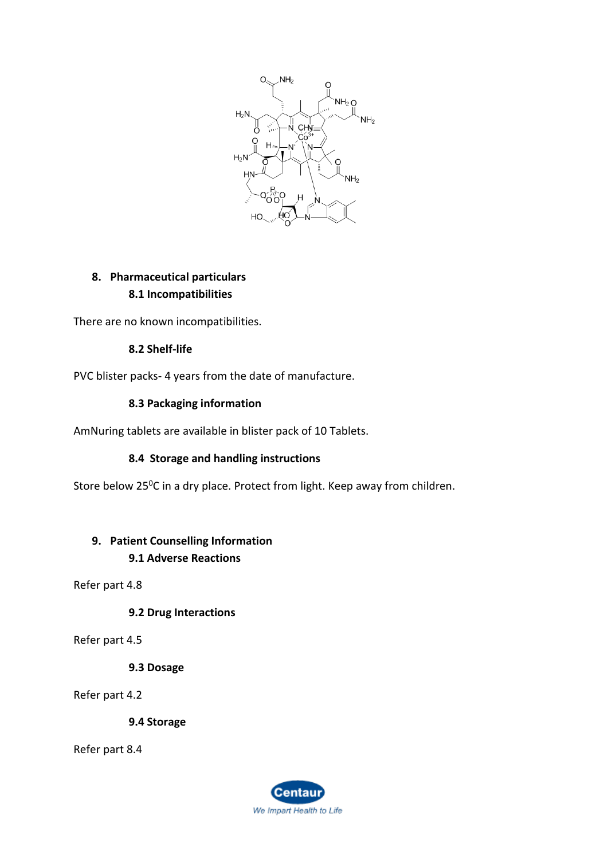

# **8. Pharmaceutical particulars 8.1 Incompatibilities**

There are no known incompatibilities.

#### **8.2 Shelf-life**

PVC blister packs- 4 years from the date of manufacture.

#### **8.3 Packaging information**

AmNuring tablets are available in blister pack of 10 Tablets.

#### **8.4 Storage and handling instructions**

Store below 25<sup>o</sup>C in a dry place. Protect from light. Keep away from children.

# **9. Patient Counselling Information 9.1 Adverse Reactions**

Refer part 4.8

**9.2 Drug Interactions**

Refer part 4.5

**9.3 Dosage**

Refer part 4.2

**9.4 Storage**

Refer part 8.4